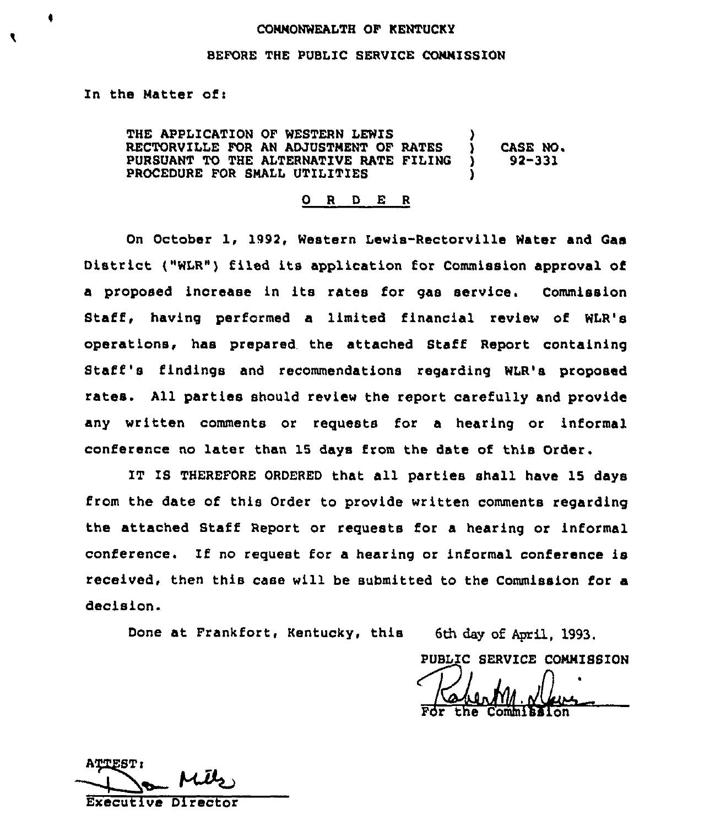#### COMMONWEALTH OF KENTUCKY

#### BEFORE THE PUBLIC SERVICE COMMISSION

In the Matter of:

THE APPLICATION OF WESTERN LEWIS RECTORVILLE FOR AN ADJUSTMENT OF RATES )<br>PURSUANT TO THE ALTERNATIVE RATE FILING ) PURSUANT TO THE ALTERNATIVE RATE FILING PROCEDURE FOR SMALL UTILITIES CASE NO.  $92 - 331$ 

0 <sup>R</sup> <sup>D</sup> E <sup>R</sup>

On October 1, 1992, Western Lewis-Rectorville Water and Gas District {"WLR") filed its application for Commission approval of a proposed increase in its rates for gas service. Commission Staff, having performed a limited financial review of WLR's operations, has prepared the attached Staff Report containing Staff's findings and recommendations regarding WLR's proposed rates. All parties should review the report carefully and provide any written comments or requests for a hearing or informal conference no later than 15 days from the date of this Order.

IT IS THEREFORE ORDERED that all parties shall have 15 days from the date of this Order to provide written comments regarding the attached Staff Report or requests for a hearing or informal conference. If no request for <sup>a</sup> hearing or informal conference is received, then this case will be submitted to the Commission for a decision.

Done at Frankfort, Kentucky, this 6th day of April, 1993.

PUBLIC SERVICE COMMISSION /

the Commitation

ATTEST:

Executive Director

۹

f.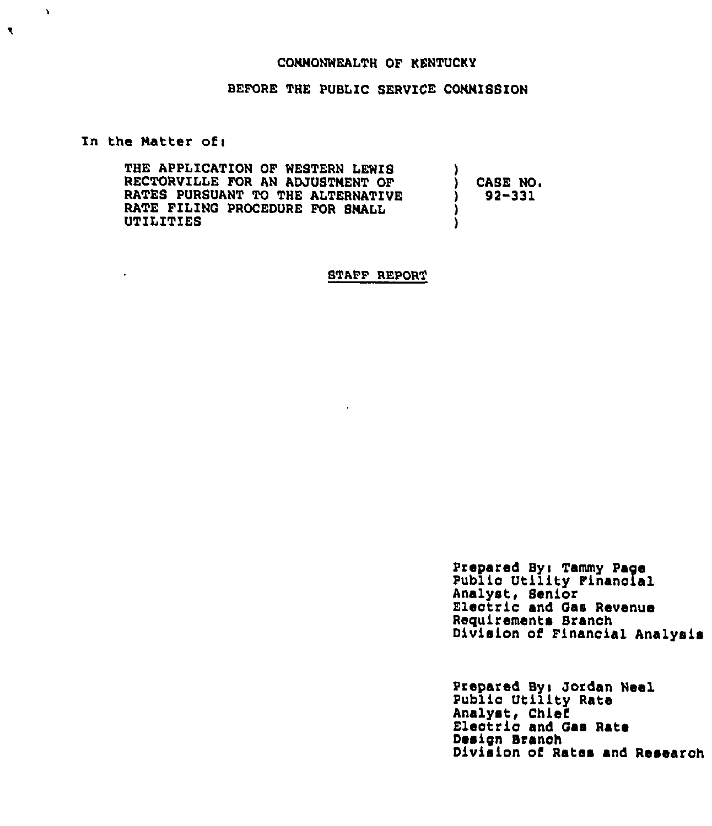## COMMONWEALTH OF KENTUCKY

## BEFORE THE PUBLIC SERVICE COMMISSION

In the Matter of:

 $\ddot{\phantom{0}}$ 

 $\Lambda$ 

 $\blacktriangledown$ 

THE APPLICATION OF WESTERN LEWIS RECTORVILLE FOR AN ADJUSTMENT OF RATES PURSUANT TO THE ALTERNATIVE RATE FILING PROCEDURE FOR SMALL UTILITIES ) CASE NO. ) 92-331 ) )

STAFF REPORT

Prepared By: Tammy Page Public Utility Financial<br>Analyst, Senior Electric and Gas Revenue Requirements Branch Division of Financial Analysis

Prepared By: Jordan Neel Public Utility Rate<br>Analyst, Chief Electric and Gas Rate Design Branch Division of Rates and Research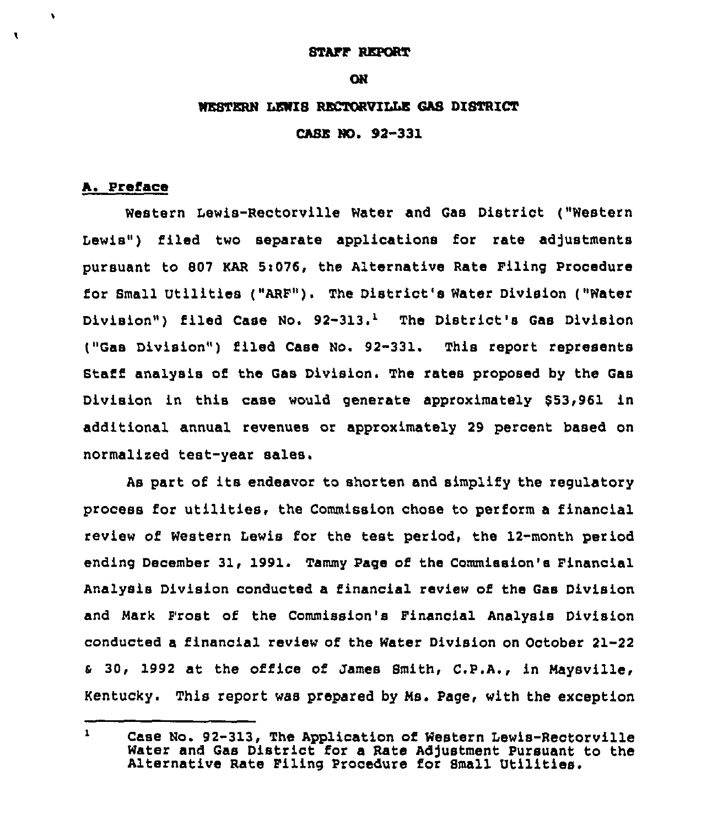### **STAFF REPORT**

#### **ON**

### WESTERN LEWIS RECTORVILLE GAS DISTRICT

CASE NO. 92-331

## A. Preface

 $\bullet$ 

 $\mathbf{I}$ 

Western Lewis-Rectorville Water and Gas District ("Western Lewis") filed two separate applications for rate adjustments pursuant to 807 KAR Si076, the Alternative Rate Filing Procedure for Small Utilities ("ARP"). The District's Water Division ("Water Division") filed Case No.  $92-313.$ <sup>1</sup> The District's Gas Division ("Gas Division") filed Case No. 92-331. This report represents Staff analysis of the Gas Division. The rates proposed by the Gas Division in this case would generate approximately \$53,961 in additional annual revenues or approximately 29 percent based on normalized teat-year sales,

As part of its endeavor to shorten and simplify the regulatory process for utilities, the Commission chose to perform <sup>a</sup> financial review of Western Lewis for the test period, the 12-month period ending December 31, 1991. Tammy Page of the Commission's Financial Analysis Division conducted a financial review of the Gas Division and Mark Frost of the Commission's Financial Analysis Division conducted a financial review of the Water Division on October 21-22 <sup>a</sup> 30, 1992 at the office of James Smith, C.P.A., in Maysville, Kentucky. This report was prepared by Ms. Page, with the exception

 $\mathbf{1}$ Case No. 92-313, The Application of Western Lewis-Rectorville Water and Gas District for a Rate Adjustment Pursuant to the<br>Alternative Rate Filing Procedure for Small Utilities.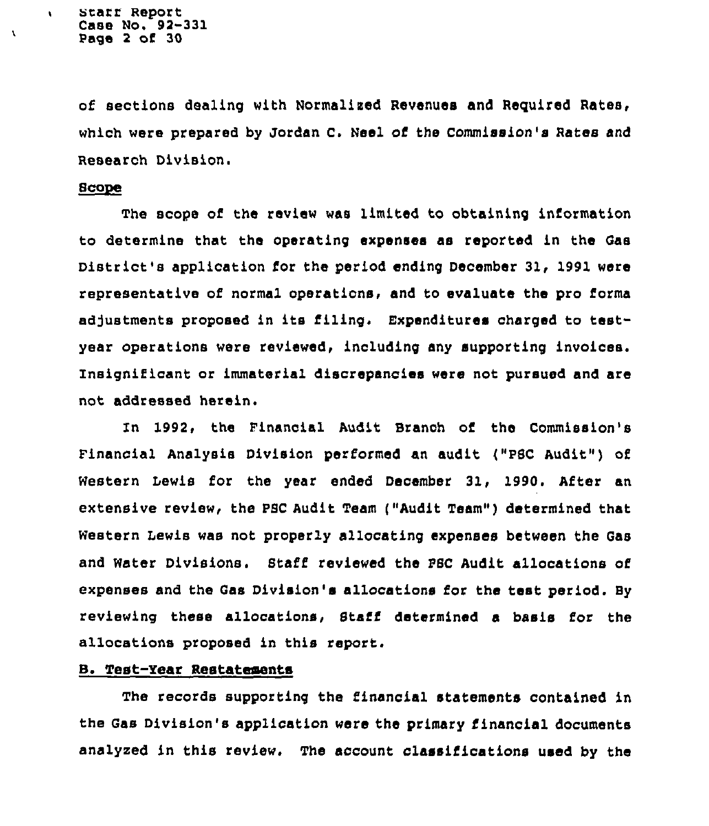of sections dealing with Normalized Revenues and Reguired Rates, which were prepared by Jordan C. Neel of the Commission's Rates and Research Division.

### 8cope

 $\sqrt{2}$ 

À

The scope of the review was limited to obtaining information to determine that the operating expenses as reported in the Gas District's application for the period ending December 31, 1991 were representative of normal operations, and to evaluate the pro forma adjustments proposed in its filing. Expenditures charged to testyear operations were reviewed, including any supporting invoices. Insignificant or immaterial discrepancies were not pursued and are not addressed herein.

In 1992> the Financial Audit Branch oi the Commission's Financial Analysis Division performed an audit ("PBC Audit" ) of Western Lewis for the year ended December 31, 1990. After an extensive review, the PBC Audit Team {"Audit Team" ) determined that western Lewis was not properly allocating expenses between the Gas and Water Divisions. Btaff reviewed the PBC Audit allocations of expenses and the Gas Division's allocations for the test period. By reviewing these allocations, Staff determined a basis for the allocations proposed in this report.

## B. Test-Year Restatements

The records supporting the financial statements contained in the Gas Division's application were the primary financial documents analyzed in this review. The account classifications used by the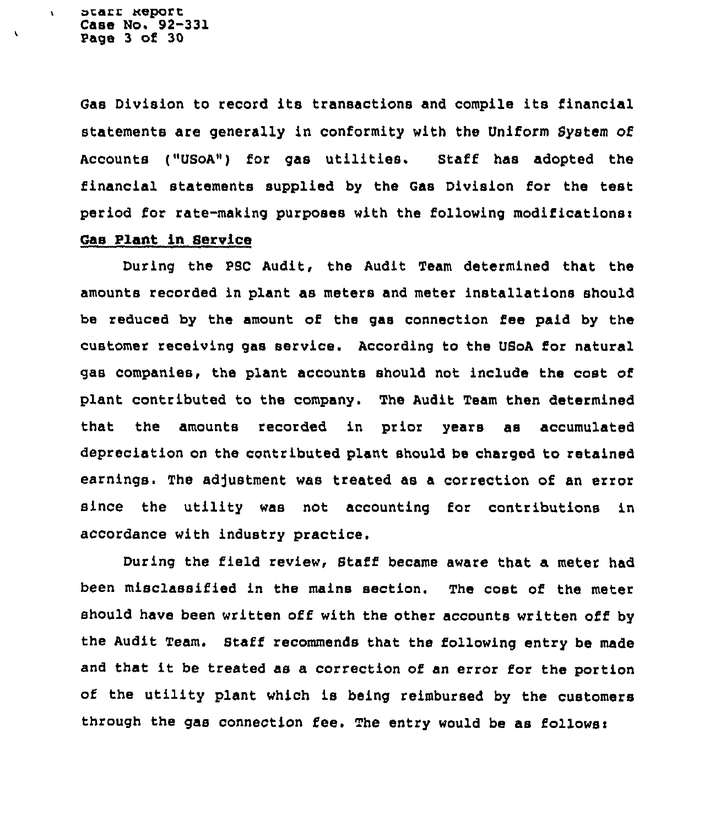ararr aeporr Case No. 92-331 Page 3 of 30

 $\ddot{\phantom{a}}$ 

 $\lambda$ 

Gas Division to record its transactions and compile its financial statements are generally in conformity with the Uniform System of Accounts ("USoA") for gas utilities. Staff has adopted the financial statements supplied by the Gas Division for the test period for rate-making purposes with the following modifications: Gas Plant in Service

During the PSC Audit, the Audit Team determined that the amounts recoxded in plant as meters and meter installations should be xeduced by the amount of the gas connection fee paid by the customer receiving gas service. According to the USoA for natural gas companies, the plant accounts should not include the cost of plant contributed to the company. The Audit Team then determined that the amounts recorded in prior years as accumulated depreciation on the contributed plant should be chaxged to retained earnings. The adjustment was treated as a correction of an error since the utility was not accounting for contributions in accordance with industry pxactice.

During the field review, Staff became aware that a meter had been misclassified in the mains section. The cost of the meter should have been written off with the other accounts written off by the Audit Team. Staff recommends that the following entry be made and that it be treated as <sup>a</sup> correction of an error for the portion of the utility plant which is being reimbursed by the customers through the gas connection fee. The entry would be as follows: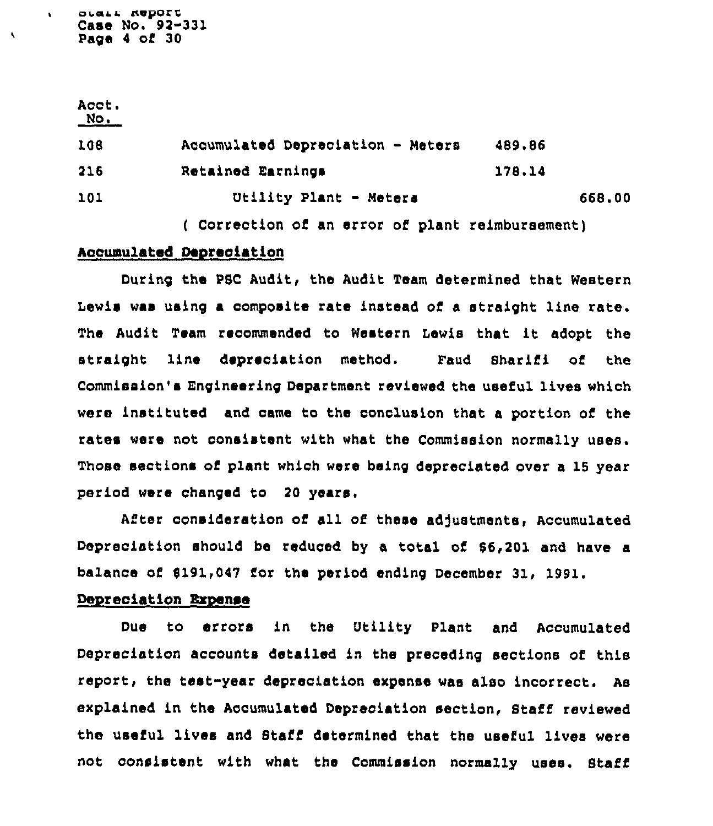owaLL I%0porv Case No. 92-331 Page <sup>4</sup> of 30

 $\ddot{\phantom{a}}$ 

| Acct.<br>$N$ o. |                                                |        |
|-----------------|------------------------------------------------|--------|
| 108             | Accumulated Depreciation - Meters              | 489,86 |
| 216             | Retained Earnings                              | 178.14 |
| 101             | Utility Plant - Meters                         | 668,00 |
|                 | Correction of an error of plant reimbursement) |        |

## Aocumulated Depreciation

During the PSC Audit< the Audit Team determined that Western Lewis was using a composite rate instead of a straight line rate. The Audit Team recommended to Western Lewis that it adopt the straight line depreciation method. Feud 8harifi of the Commission's Engineering Department reviewed the useful lives which were instituted and came to the conclusion that a portion of the rates were not consistent with what the Commission normally uses. Those sections of plant which were being depreciated over a 16 year period were changed to 20 years.

After consideration of all of these adjustments, Accumulated Depreciation should be reduced by a total of 86,201 and have a balance of \$191,047 for the period ending December 31, 1991.

### Depreciation Expense

Due to errors in the Utility Plant and Accumulated Depreciation accounts detailed in the preceding sections of this report, the test-year depreciation expense was also incorrect. As explained in the Accumulated Depreciation section, Staff reviewed the useful lives and Staff determined that the useful lives were not consistent with what the Commission normally uses. Staff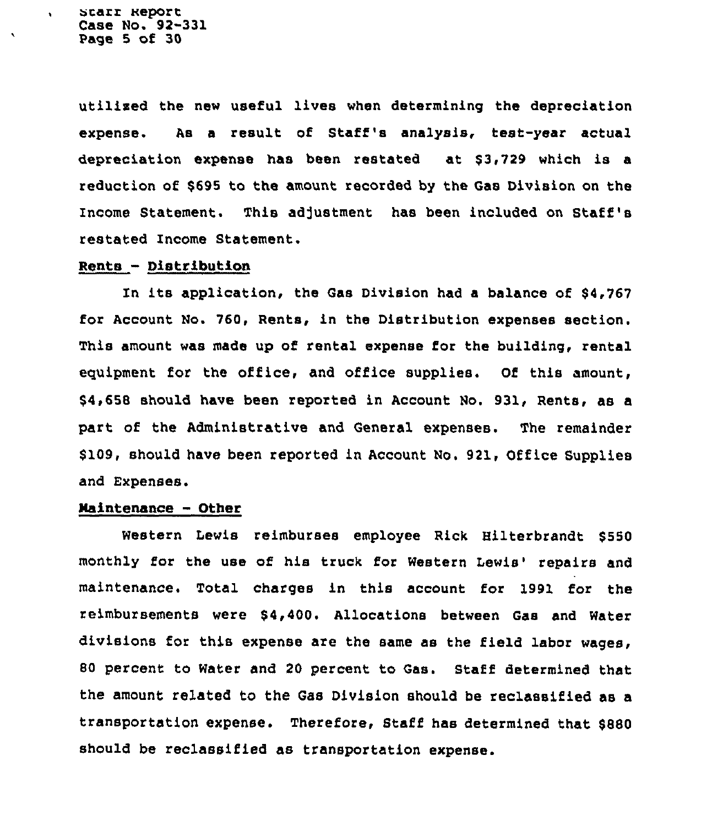scarz Report Case No. 92-331 Page 5 of 30

 $\ddot{\phantom{a}}$ 

utilixed the new useful lives when determining the depreciation expense. As a result of Staff's analysis, teat-year actual depreciation expense has been restated at \$3,729 which is a reduction of \$695 to the amount recorded by the Gas Division on the Income Statement. This adjustment has been included on Staff's restated Income Statement.

### $Rents - District button$

In its application, the Gas Division had a balance of \$4,767 for Account No. 760, Rents, in the Distribution expenses section. This amount was made up of rental expense for the building, rental equipment for the office, and office supplies. Of this amount, \$4,658 should have been reported in Account No. 931, Rents, as a part of the Administrative and General expenses. The remainder \$ 109, should have been reported in Account No. 921, Office Supplies and Expenses.

## Maintenance - Other

Western Lewis reimburses employee Rick Hilterbrandt \$550 monthly for the use of his truck for Western Lewis' repairs and maintenance. Total charges in this account for 1991 for the reimbursements were \$4,400. Allocations between Gas and Water divisions for this expense are the same as the field labor wages, 80 percent to Water and 20 percent to Gas. Staff determined that the amount related to the Gas Division should be reclassified as a transportation expense. Therefore, Staff has determined that \$880 should be reclassified as transportation expense.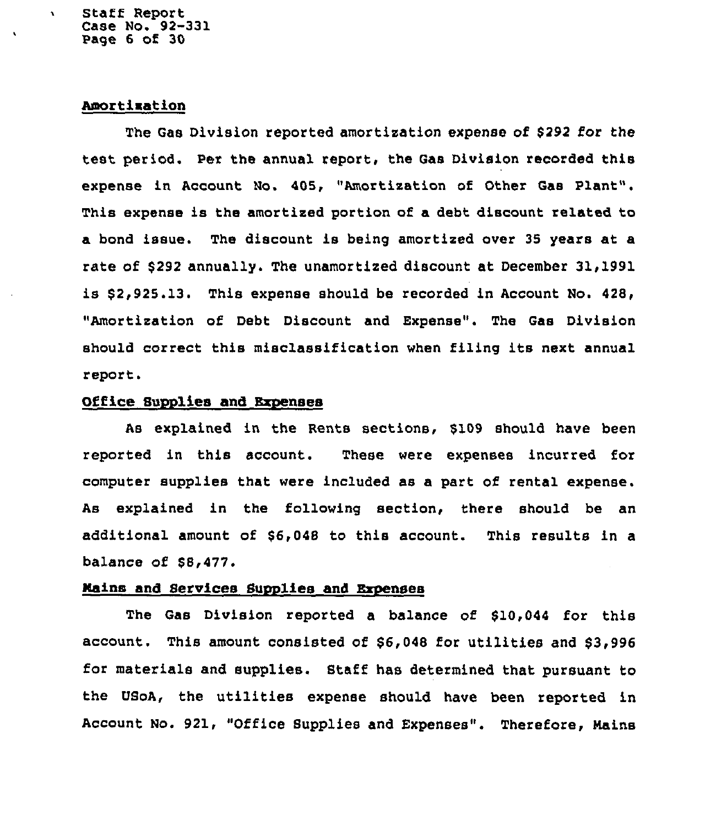Staff Report Case No. 92-331 Page 6 of 30

 $\mathbf{r}$ 

## Amortization

The Gas Division reported amortization expense of \$292 for the test period. Per the annual report, the Gas Division recorded this expense in Account No. 405, "Amortization of Other Gas Plant". This expense is the amortized portion of a debt discount related to a bond issue. The discount is being amortized over 35 years at a rate of \$292 annually. The unamortized discount at December 31,1991 is \$ 2,925.13. This expense should be recorded in Account No. 428, "Amortization of Debt Discount and Expense". The Gas Division should correct this misclassification when filing its next annual report.

### Office Supplies and Expenses

As explained in the Rents sections, \$109 should have been reported in this account. These were expenses incurred for computer supplies that were included as a part of rental expense. As explained in the following section, there should be an additional amount of \$6,048 to this account. This results in a balance of  $$8,477.$ 

#### Mains and Services Supplies and Expenses

The Gas Division reported a balance of \$10,044 for this account. This amount consisted of \$6,048 for utilities and \$3,996 for materials and supplies. Staff has determined that pursuant to the USoA, the utilities expense should have been reported in Account No. 921, "Office Supplies and Expenses". Therefore, Mains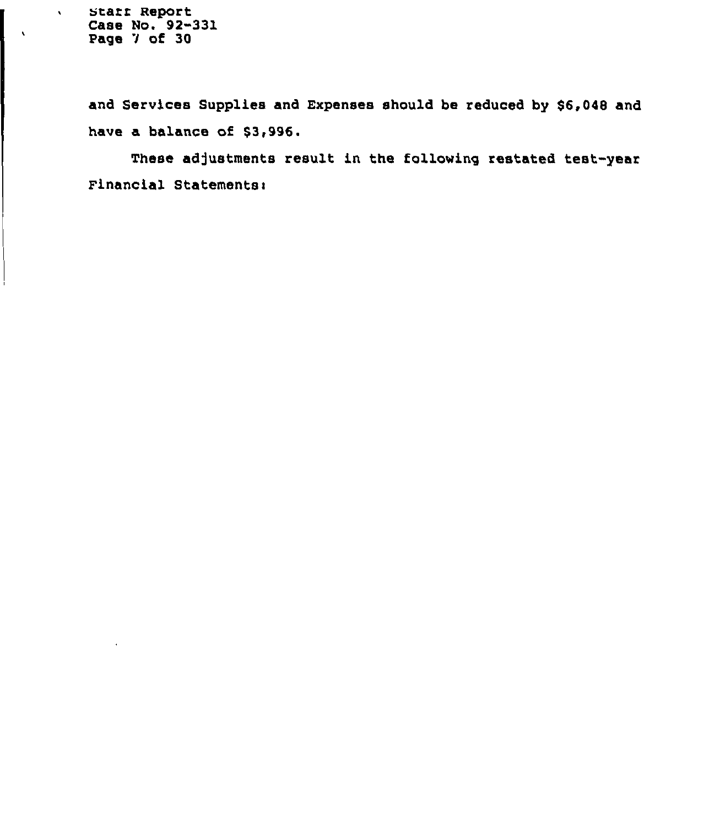starr Report Case No. 92-331 Page 7 of 30

 $\Delta \tau$ 

 $\Lambda$ 

and Services Supplies and Expenses should be reduced by \$6,048 and have a balance of \$3,996.

These adjustments result in the following restated test-year Financial Statements: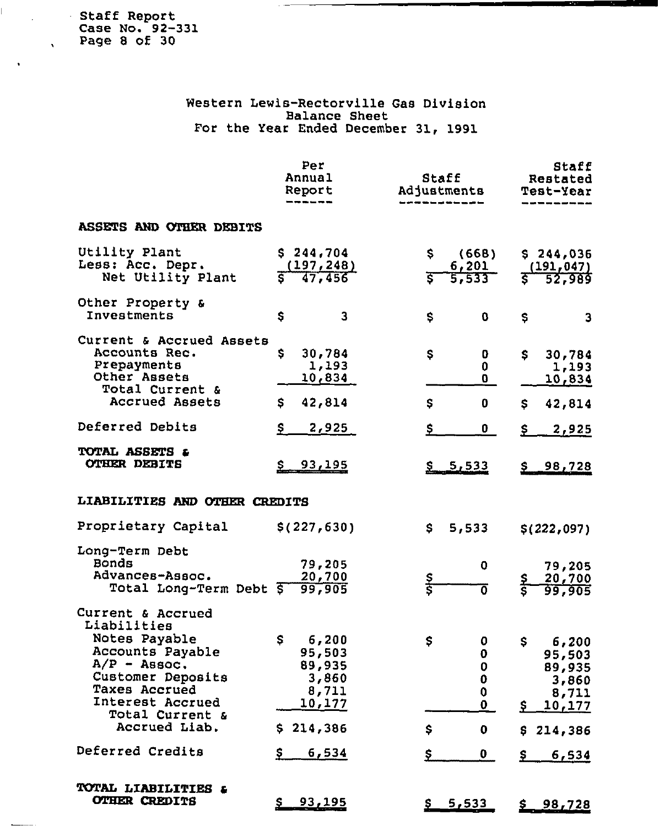Staff Report Case No. 92-331 Page 8 of 30

 $\mathbb{R}^2$ 

 $\ddot{\phantom{a}}$ 

 $\sim$   $\sim$ 

 $\Delta$ 

# Western Lewis-Rectorville Gas Division Balance Sheet For the Year Ended December 31, 1991

|                                                                                                                                                                                       | Per<br>Annual<br>Report                                                            | Staff<br>Adjustments                                        | Staff<br>Restated<br>Test-Year                                                 |
|---------------------------------------------------------------------------------------------------------------------------------------------------------------------------------------|------------------------------------------------------------------------------------|-------------------------------------------------------------|--------------------------------------------------------------------------------|
| ASSETS AND OTHER DEBITS                                                                                                                                                               |                                                                                    |                                                             |                                                                                |
| Utility Plant<br>Less: Acc. Depr.<br>Net Utility Plant                                                                                                                                | \$244,704<br>$\frac{(197, 248)}{47, 456}$                                          | \$.<br>(668)<br>6,201<br>$\overline{\mathsf{s}}^-$<br>5,533 | \$244,036<br>$\frac{(191,047)}{52,989}$<br>Ŝ                                   |
| Other Property &<br>Investments                                                                                                                                                       | \$<br>3                                                                            | \$<br>0                                                     | \$<br>3                                                                        |
| Current & Accrued Assets<br>Accounts Rec.<br>Prepayments<br>Other Assets<br>Total Current &<br>Accrued Assets                                                                         | S.<br>30,784<br>1,193<br>10,834<br>42,814<br>\$.                                   | \$<br>0<br>0<br>O.<br>\$<br>0                               | \$<br>30,784<br>1,193<br>10,834<br>42,814<br>\$.                               |
| Deferred Debits<br>TOTAL ASSETS &<br><b>OTHER DEBITS</b>                                                                                                                              | \$<br>2,925<br>93,195                                                              | \$<br>0<br>\$5,533                                          | <u>2,925</u><br>\$.<br>98,728                                                  |
| LIABILITIES AND OTHER CREDITS<br>Proprietary Capital                                                                                                                                  | \$(227, 630)                                                                       | 5,533<br>\$.                                                | \$(222,097)                                                                    |
| Long-Term Debt<br>Bonds<br>Advances-Assoc.<br>Total Long-Term Debt 5                                                                                                                  | 79,205<br>20,700<br>99,905                                                         | 0<br>s<br>S<br>0                                            | 79,205<br>20,700<br>99,905                                                     |
| Current & Accrued<br>Liabilities<br>Notes Payable<br>Accounts Payable<br>$A/P -$ Assoc.<br>Customer Deposits<br>Taxes Accrued<br>Interest Accrued<br>Total Current &<br>Accrued Liab. | $\mathsf{S}$<br>6,200<br>95,503<br>89,935<br>3,860<br>8,711<br>10,177<br>\$214,386 | \$<br>0<br>0<br>0<br>0<br>O<br>$\mathbf{0}$<br>\$<br>0      | \$<br>6,200<br>95,503<br>89,935<br>3,860<br>8,711<br>\$<br>10,177<br>\$214,386 |
| Deferred Credits                                                                                                                                                                      | \$.<br>6,534                                                                       | \$<br>$\mathbf{0}$                                          | Ş.<br>6,534                                                                    |
| TOTAL LIABILITIES &<br><b>OTHER CREDITS</b>                                                                                                                                           | $S$ 93, 195                                                                        | 5,533<br><u>s.</u>                                          | 98,728<br><u>s.</u>                                                            |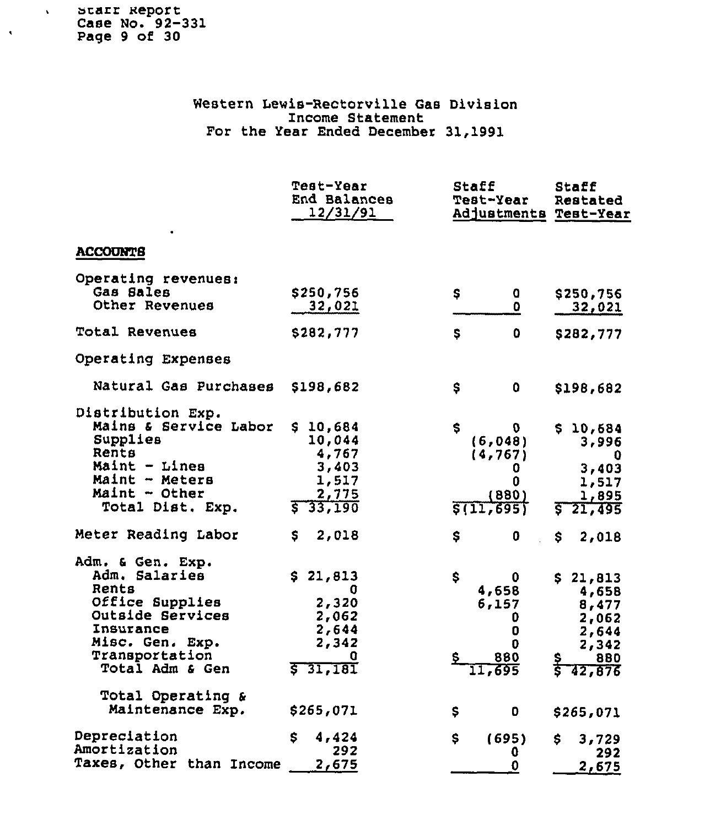starr Report Case No. 92-331 Page 9 of 30

 $\mathbf{v}$ 

 $\hat{\mathbf{v}}$ 

Western Lewis-Rectorville Gas Division Income Statemen For the Year Ended December 31,1991

|                                                                                                                                                                                                 | Test-Year<br>End Balances<br>12/31/91                                          | Staff<br>Test-Year<br>Adjustments Test-Year                           | Staff<br>Restated                                                                   |
|-------------------------------------------------------------------------------------------------------------------------------------------------------------------------------------------------|--------------------------------------------------------------------------------|-----------------------------------------------------------------------|-------------------------------------------------------------------------------------|
| <b>ACCOUNTS</b>                                                                                                                                                                                 |                                                                                |                                                                       |                                                                                     |
| Operating revenues:<br>Gas Sales<br>Other Revenues                                                                                                                                              | \$250,756<br>32,021                                                            | \$<br>0<br>0                                                          | \$250,756<br>32,021                                                                 |
| Total Revenues                                                                                                                                                                                  | \$282,777                                                                      | \$<br>0                                                               | \$282,777                                                                           |
| Operating Expenses                                                                                                                                                                              |                                                                                |                                                                       |                                                                                     |
| Natural Gas Purchases                                                                                                                                                                           | \$198,682                                                                      | \$<br>0                                                               | \$198,682                                                                           |
| Distribution Exp.<br>Mains & Service Labor<br>Supplies<br>Rents<br>Maint - Lines<br>Maint - Meters<br>Maint - Other<br>Total Dist. Exp.                                                         | \$10,684<br>10,044<br>4,767<br>3,403<br>1,517<br>2,775<br>33,190               | S.<br>D<br>(6,048)<br>(4, 767)<br>0<br>0<br>(880)<br>\$(11, 695)      | \$10,684<br>3,996<br>0<br>3,403<br>1,517<br>1,895<br>21,495                         |
| Meter Reading Labor                                                                                                                                                                             | S<br>2,018                                                                     | \$<br>0                                                               | S.<br>2,018                                                                         |
| Adm. & Gen. Exp.<br>Adm. Salaries<br>Rents<br>Office Supplies<br>Outside Services<br>Insurance<br>Misc. Gen. Exp.<br>Transportation<br>Total Adm & Gen<br>Total Operating &<br>Maintenance Exp. | \$21,813<br>O<br>2,320<br>2,062<br>2,644<br>2,342<br>a<br>571,181<br>\$265,071 | \$<br>0<br>4,658<br>6,157<br>0<br>0<br>0<br>880<br>11,695<br>\$.<br>0 | \$21,813<br>4,658<br>8,477<br>2,062<br>2,644<br>2,342<br>880<br>42,876<br>\$265,071 |
| Depreciation                                                                                                                                                                                    | 4,424<br>S.                                                                    | \$<br>(695)                                                           | \$<br>3,729                                                                         |
| Amortization<br>Taxes, Other than Income                                                                                                                                                        | 292<br>2,675                                                                   | O<br>$\pmb{0}$                                                        | 292<br>2,675                                                                        |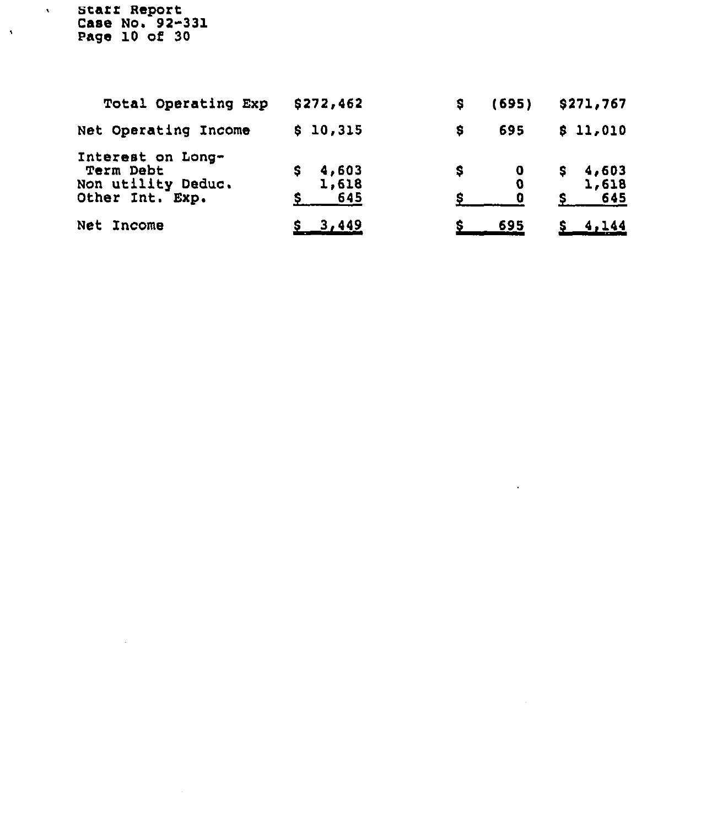starf Report Case No. 92-331 Page 10 of 30

 $\sim 10^7$ 

 $\sim 10^{-11}$ 

 $\hat{\mathbf{v}}$ 

 $\langle \rangle$ 

| Total Operating Exp                                                     | \$272,462             | s | (695) | \$271,767             |
|-------------------------------------------------------------------------|-----------------------|---|-------|-----------------------|
| Net Operating Income                                                    | \$10,315              | s | 695   | \$11,010              |
| Interest on Long-<br>Term Debt<br>Non utility Deduc.<br>Other Int. Exp. | 4,603<br>1,618<br>645 |   | 0     | 4,603<br>1,618<br>645 |
| Net Income                                                              | $S = 3,449$           |   | 695   |                       |

 $\sim 10^{-1}$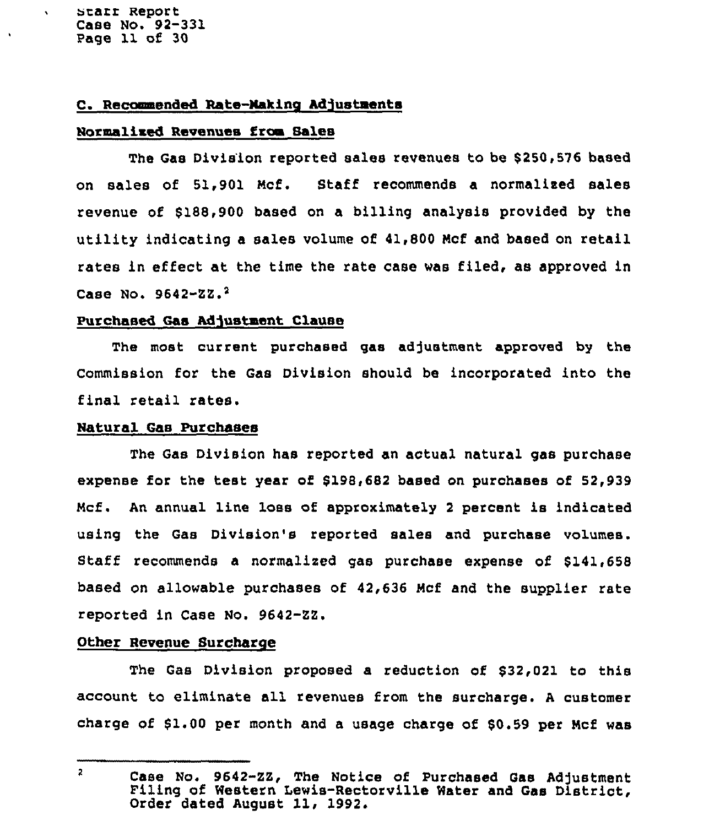starr Report Case No. 92-331 Page 11 of 30

 $\mathbf{v}$ 

 $\bullet$ 

## C. Recommended Rate-Making Adjustments

### Normalized Revenues from Sales

The Gas Division reported sales revenues to be \$250,576 based on sales of 51,901 Mcf. Staff recommends a normalized sales revenue of \$188,900 based on a billing analysis provided by the utility indicating a sales volume of 41,800 Mcf and based on retail rates in effect at the time the rate case was filed, as approved in Case No.  $9642 - 22.2$ 

### Purchased Gas Adjustment Clause

The most current purchased gas adjustment approved by the Commission for the Gas Division should be incorporated into the final retail rates.

#### Natural Gas Purchases

The Gas Division has reported an actual natural gas purchase expense for the test year of \$198,682 based on purchases of 52,939 Mcf. An annual line loss of approximately <sup>2</sup> percent is indicated using the Gas Division's reported sales and purchase volumes. Staff recommends a normalized gas purchase expense of 8141,658 based on allowable purchases of 42,636 Mcf and the supplier rate reported in Case No. 9642-ZZ.

### Other Revenue Surcharge

The Gas Division proposed a reduction of 832,021 to this account to eliminate all revenues from the surcharge. <sup>A</sup> customer charge of 61.00 per month and a usage charge of 80.59 per Mcf was

 $\overline{2}$ 

Case No. 9642-ZZ, The Notice of Purchased Gas Adjustment<br>Filing of Western Lewis-Rectorville Water and Gas District, Order dated August 11, 1992.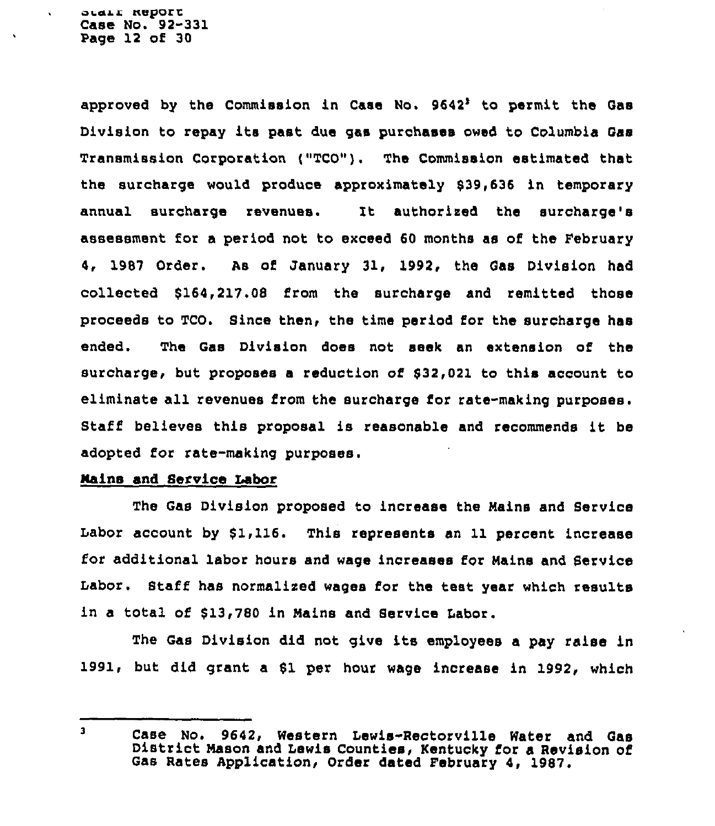approved by the Commission in Case No.  $9642<sup>3</sup>$  to permit the Gas Division to repay its past due gas purchases owed to Columbia Gas Transmission Corporation ("TCO"). 'The Commission estimated that the surcharge would produce approximately 839,636 in temporary annual surcharge revenues. It authorised the surcharge's assessment for a period not to exceed 60 months as of the February 4, 1987 Order, As of January 31, 1992, the Gas Division had collected \$164,217.08 from the surcharge and remitted those proceeds to TCO. Since then, the time period for the surcharge has ended. The Gas Division does not seek an extension of the surcharge, but proposes a reduction of 832,021 to this account to eliminate all revenues from the surcharge for rata-making purposes. Staff believes this proposal is reasonable and recommends it be adopted for rate-making purposes.

### Mains and Service Labor

The Gas Division proposed to increase the Mains and Service Labor account by \$1,116. This represents an 11 percent increase for additional labor hours and wage increases for Mains and Service Labor. Staff has normalised wages for the teat year which results in a total of \$13,780 in Mains and Service Labor.

The Gas Division did not give its employees <sup>a</sup> pay raise in 1991, but did grant a Sl per hour wage increase in 1992, which

 $\mathbf{3}$ Case No. 9642, Western Lewis-Rectorville Water and Gas District Mason and Lewis Counties, Kentucky for <sup>a</sup> Revision of Gas Rates Application, Order dated February 4, 1987.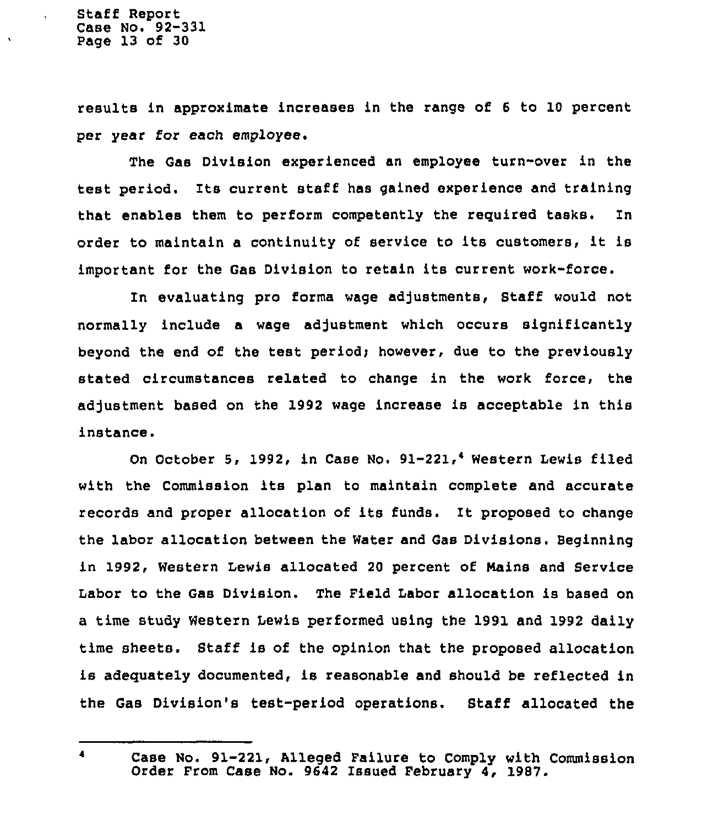results in approximate increases in the range of <sup>6</sup> to 10 percent per year for each employee.

The Gas Division experienced an employee turn-over in the test period. Its current staff has gained experience and training that enables them to perform competently the required tasks. ln order to maintain <sup>a</sup> continuity of service to its customers, it is important for the Gas Division to retain its current work-force.

In evaluating pro forms wage adjustments, Staff would not normally include a wage adjustment which occurs significantly beyond the end of the test period; however, due to the previously stated circumstances related to change in the work force, the adjustment based on the 1992 wage increase is acceptable in this instance.

On October 5, 1992, in Case No. 91-221,<sup>4</sup> Western Lewis filed with the Commission its plan to maintain complete and accurate records and proper allocation of its funds. It proposed to change the labor allocation between the Water and Gas Divisions. Beginning in 1992, Western Lewis allocated 20 percent of Mains and Service Labor to the Gas Division. The Field Labor allocation is based on a time study Western lewis performed using the 1991 and 1992 daily time sheets. Staff is of the opinion that the proposed allocation is adequately documented, is reasonable and should be reflected in the Gas Division's test-period operations. Staff allocated the

 $\blacksquare$ 

Case No. 91-221, Alleged Failure to Comply with Commission Order From Case No. 9642 Issued February 4, 1987.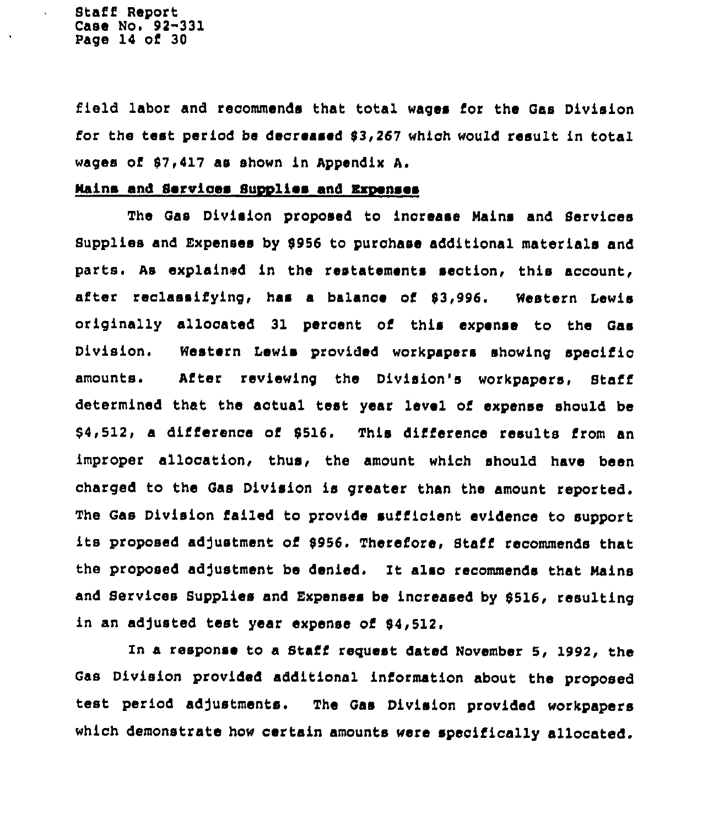Staff Report Case No. 92-331 Page 14 of 30

field labor and recommends that total wages for the Gas Division for the test period be decreased 93,267 which would result in total wages of 87<417 as shown in Appendix A.

## mains and Services Supplies and Expenses

The Qas Division proposed to increase Nains and Services Supplies and Expenses by 5956 to purchase additional materials and parts. As explained in the restatements section, this account, after reclassifying, haa <sup>a</sup> balance oi'3,996. Western Lewis originally allocated 31 percent of this expense to the Gas Division. Western Lewis provided workpapers showing specific amounts. After reviewing the Division's workpapers, Staff determined that the actual test year level of expense should be \$4,512, a difference of 5516. This difference results from an improper allocation, thus, the amount which should have been charged to the Gas Division is greater than the amount reported. The Gas Division failed to provide sufficient evidence to support its proposed adjustment of 9956. Therefore, Staff recommends that the proposed adjustment be denied. It also recommends that Mains and Services Supplies and Expenses be increased by 5516, resulting in an adjusted test year expense of \$4,512.

In a response to a Staff request dated November 5, 1992, the Gas Division provided additional information about the proposed test period adjustments. The Gas Division provided workpapers which demonstrate how certain amounts were specifically allocated.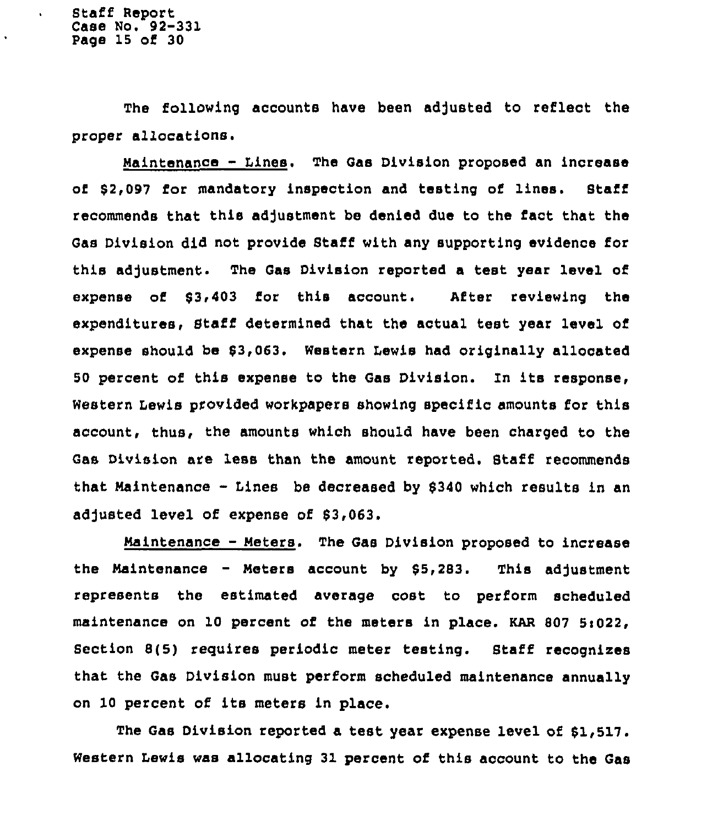$\ddot{\phantom{0}}$ 

The following accounts have been adjusted to reflect the proper allocations.

Maintenance - Lines. The Gas Division proposed an increase of 82,097 for mandatory inspection and testing of lines. Staff recommends that this adjustment be denied due to the fact that the Gas Division did not provide Staff with any supporting evidence for this adjustment. The Gas Division reported a test year level of expense of 83i403 for this account. After reviewing the expenditures, Staff determined that the actual test year level of expense should be \$3,063. Western Lewis had originally allocated <sup>50</sup> percent of this expense to the Qas Division. In its response< Western Lewis provided workpapers showing specific amounts for this account, thus, the amounts which should have been charged to the Gas Division are less than the amount reported. Staff recommends that Maintenance - Lines be decreased by <sup>8340</sup> which results in an adjusted level of expense of \$3,063.

Maintenance - Meters. The Gas Division proposed to increase the Maintenance - Meters account by  $$5,283$ . This adjustment represents the estimated average cost to perform scheduled maintenance on 10 percent of the meters in place. KAR 807 5:022, Section 8(5) requires periodic meter testing. Staff recognizes that the Gas Division must perform scheduled maintenance annually on 10 percent of its meters in place.

The Gas Division reported a test year expense level of 81,517. Western Lewis was allocating 31 percent of this account to the Gas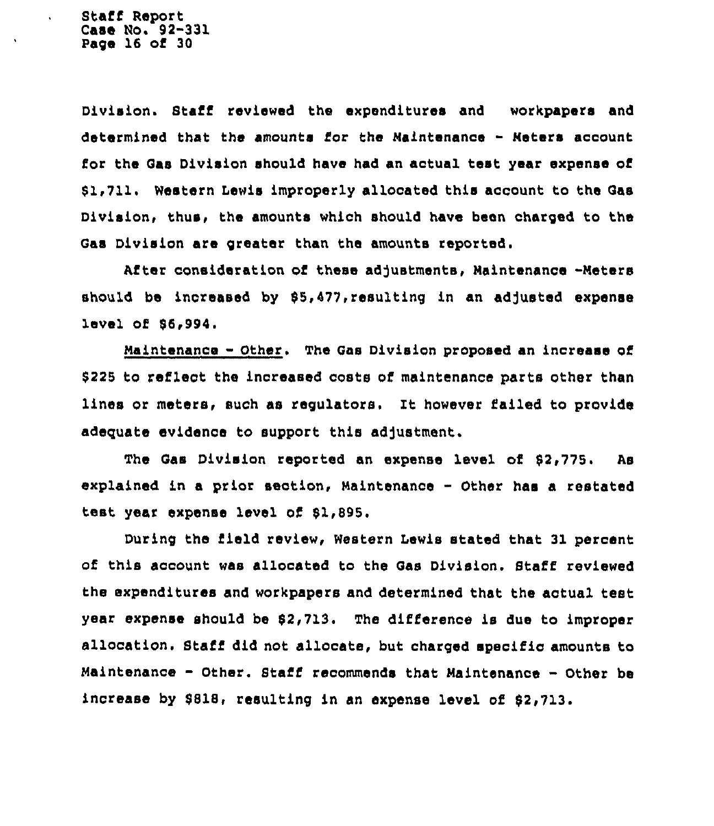Staff Report Case Mo. 92-331 Page 16 of 30

Division. Staff reviewed the expenditures and workpapers and determined that the amounts for the Maintenance - Meters account for the Qas Division should have had an actual test year expense of 81,711. Western Lewis improperly allocated this account to the Qas Division, thus, the amounts which should have been charged to the Gas Division are greater than the amounts reported.

After consideration of these adjustments, Maintenance -Meters should be increased by \$5,477, resulting in an adjusted expense level of 86,994

Maintenance - Other. The Gas Division proposed an increase of \$225 to reflect the increased costs of maintenance parts other than lines or meters, such as regulators. It however failed to provide adequate evidence to support this adjustment.

The Gas Division reported an expense level of 82,775. As explained in a prior section, Maintenance - Other has a restated test. year expense level of 81,895.

During the field review, Western Lewis stated that 31 percent of this account was allocated to the Gas Division. Staff reviewed the expenditures and workpapers and determined that the actual test year expense should be 82,713. The difference is due to improper allocation <sup>~</sup> Stafi did not allocate, but charged specific amounts to Maintenance - Other. Staff recommends that Maintenance - Other be increase by 8818, resulting in an expense level of 82,713.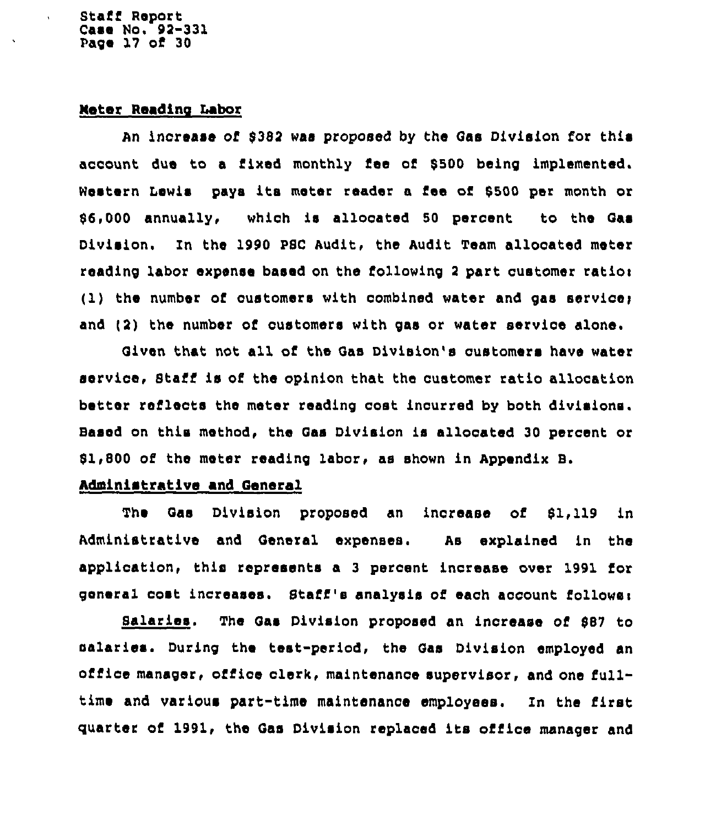Stafi Report Case No. 92-331 Page 17 of 30

### Meter Reading Labor

An increase of \$382 was proposed by the Gas Division for this account due to a fixed monthly fee of \$500 being implemented. Western Lewis paya its meter reader a fee of 5500 per month or 56,000 annually, which is allocated 50 percent to the Qaa Division. Zn the 1990 PSC Audit, the Audit Team allocated meter reading labor expense based on the following 2 part customer ration  $(1)$  the number of customers with combined water and gas service; and (2) the number of customers with gas or water service alone.

Qiven that not all of the Qas Division's customers have water service, Staff is of the opinion that the customer ratio allocation better refleots the meter reading cost incurred by both divisions. Based on this method, the Qas Division is allocated 30 percent or  $$1,800$  of the meter reading labor, as shown in Appendix B.

### Administrative and General

The Qas Division proposed an increase of \$1,119 in Administrative and General expenses. As explained in the application, this represents a 3 percent increase over 1991 for general cost increases. Staff's analysis of each account follower

Salaries <sup>~</sup> The Qas Division proposed an increase of 987 to salaries. During the test-period, the Gas Division employed an office manager, ofiice clerk, maintenance supervisor, and one fulltime and various part-time maintenance employees. Zn the first quarter of 1991, the Qas Division replaced its office manager and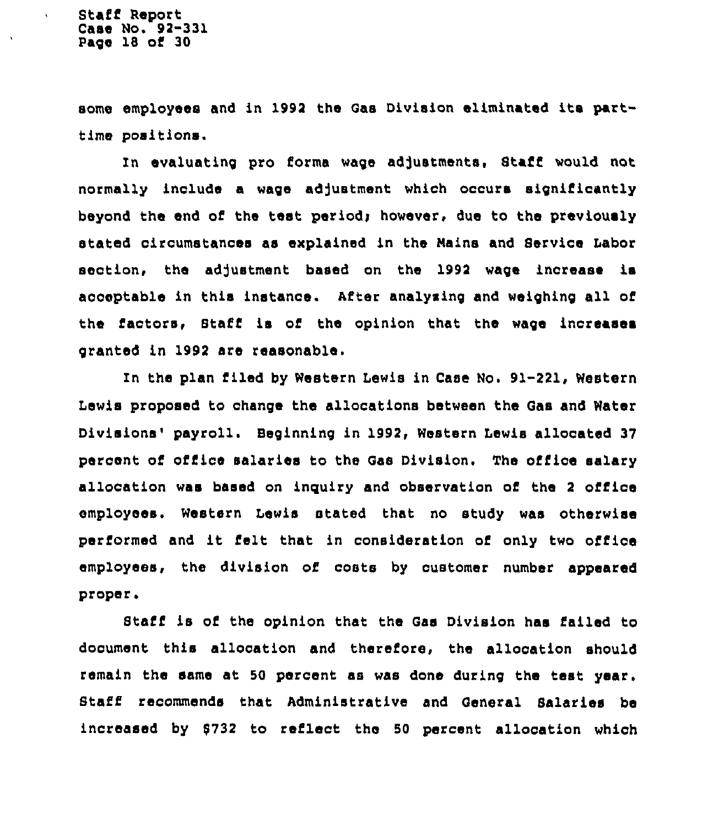$\ddot{\phantom{a}}$ 

some employees and in 1992 the Qas Division eliminated its parttime positions.

In evaluating pro forma wage adjustments, Staff would not normally include a wage adjustment which occurs significantly beyond the end of the test period; however, due to the previously stated circumstances as explained in the Nains and Service Labor seotion, the adjustment based on the 1992 wage increase is acceptable in this instance. After analysing and weighing all of the factors, Staff is of the opinion that the wage increaaea granted in 1992 are reasonable.

In the plan filed by Western Lewis in Case No. 91-221, Western Lewis proposed to change the allocations between the Qas and Water Divisions' payroll. Beginning in 1992, Western Lewis allocated 37 percent of office salaries to the Qas Division, The office salary allocation was based on inguiry and observation of the <sup>2</sup> office employees. Western lewis stated that no study was otherwiae performed and it felt that in consideration of only two office employees, the division of costs by customer number appeared proper.

Staff is of the opinion that the Gas Division has failed to document this allocation and therefore, the allocation should remain the same at 50 percent as was done during the test year. Staff recommends that Administrative and General Salaries be increased by 9732 to reflect the 50 percent allocation which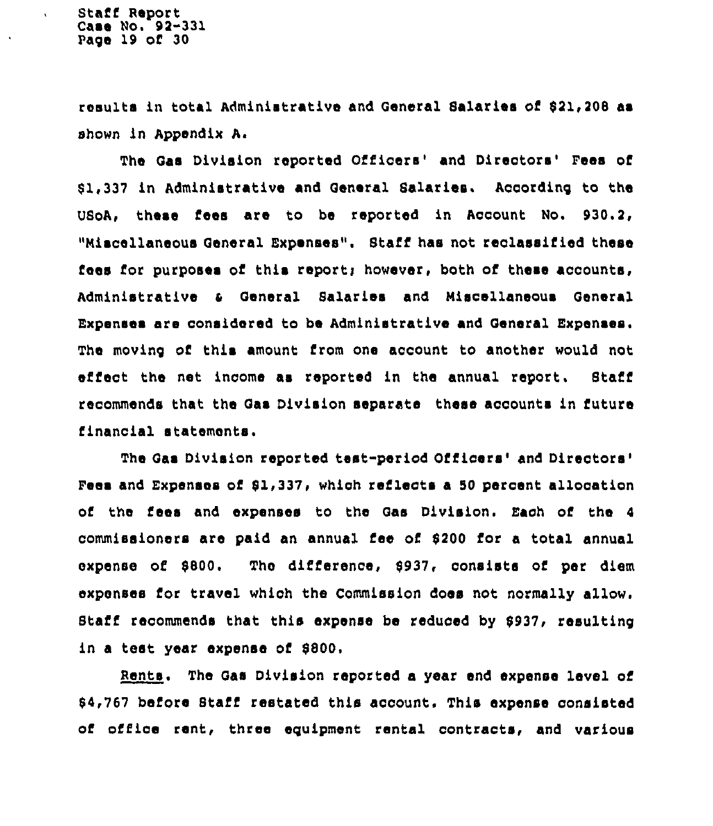$\ddot{\phantom{a}}$ 

results in total Administrative and General Salaries of \$21,208 as shown in Appendix A.

The Gas Division reported Officers' and Directors' Fees of 81.337 in Administrative and General Salaries. According to the USoA, these fees are to be reported in Account No. 930.2, "Miscellaneous General Expenses". 8taff has not reclassified these fees for purposes of this report; however, both of these accounts, Administrative <sup>4</sup> General Salaries and Miscellaneous General Expenses are considered to be Administrative and General Expenses. The moving of this amount from one account to another would not effect the net income as reported in the annual report. Staff recommends that the Qas Division separate these accounts in future financial statements.

The Gas Division reported test-period Officers' and Directors' and Expenses of 81,337, which reflects a 50 percent allocation of the fees and expenses to the Gas Division. Each of the 4 commissioners are paid an annual fee of 8200 for a total annual expense of 8800. The difference, 8937, consists of per diem expenses for travel which the Ccmmissicn does not normally allow. Staff recommends that this expense be reduced by 8937, resulting in a test year expense of \$800.

. The Gas Division reported a year end expense level of 84,767 before Staff restated this account. This expense consisted of office rent, three equipment rental contracts, and various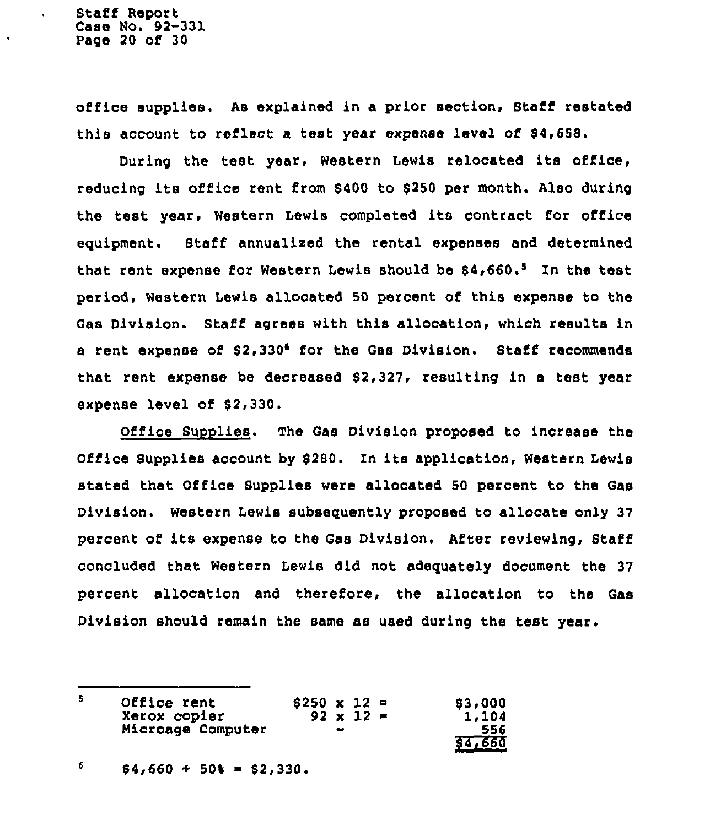Staff Report Case No. 92-331 Page 20 o8 30

 $\ddot{\phantom{0}}$ 

office supplies. As explained in a prior section, Staff restated this account to reflect a teat year expense level of \$4,658.

During the test year, Western Lewis relocated its office, reducing its office rent from \$400 to \$250 per month. Also during the test year, Western Lewis completed its contract for office equipment. Staff annualized the rental expenses and determined that rent expense for Western Lewis should be  $$4,660.^5$  In the test period, Western Lewis allocated 50 percent of this expense to the Gas Division. Staff agrees with this allocation, which results in a rent expense of \$2,330<sup>6</sup> for the Gas Division. Staff recommends that rent expense be decreased  $$2,327$ , resulting in a test year expense level of \$2,330.

Office Supplies. The Gas Division proposed to increase the Office Supplies account by \$280. In its application, Western Lewis stated that Office Supplies were allocated 50 percent to the Gas Division. Western Lewis subsequently proposed to allocate only 37 percent of its expense to the Gas Division. After reviewing, Staff concluded that Western Lewis did not adequately document the 37 percent allocation and therefore, the allocation to the Gas Division should remain the same as used during the test year.

5 Office rent  $$250 \times 12 =$ <br>92 x 12 =  $1,104$ Xerox copier Wicroage Computer 556 84i660

6  $$4,660 + 50$ \$ = \$2,330.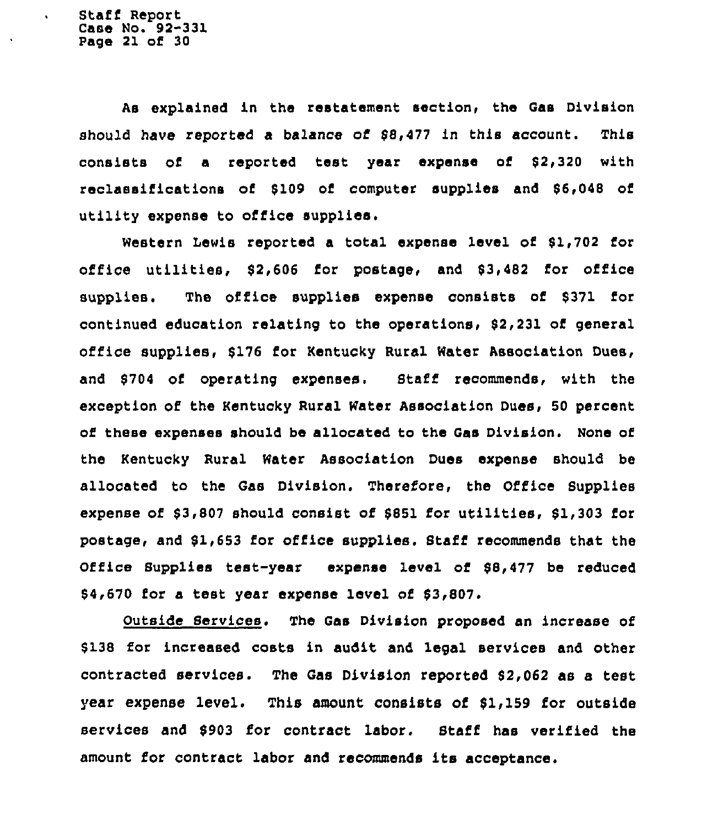$\ddot{\phantom{0}}$ 

As explained in the restatement section, the Qas Division should have reported a balance of 88,477 in this account. This consists of a reported test year expense of 82,320 with reclassifications of 8109 of computer supplies and 86,048 of utility expense to office supplies.

Western Lewis reported a total expense level of \$1,702 for office utilities, 82,606 for postage, and 83,482 for office supplies. The office supplies expense consists of \$371 for continued education relating to the operations, 82,231 of general office supplies, \$176 for Kentucky Rural Water Association Dues, and \$704 of operating expenses. Staff recommends, with the exception of the Kentucky Rural Water Association Dues, 50 percent of these expenses should be allocated to the Gas Division. None of the Kentucky Rural Water Association Dues expense should be allocated to the Gas Division. Therefore, the Office Supplies expense of \$3,807 should consist of \$851 for utilities, \$1,303 for postage, and 81,653 for office supplies. Staff recommends that the Office Supplies test-year expense level of 98,477 be reduced 64,670 for a test year expense level of 83,807.

Outside Services. The Qas Divisicn proposed an increase of \$ 138 for increased costs in audit and legal services and other contracted services. The Gas Division reported 82,062 as a test year expense level. This amount consists of \$1,159 for outside services and 8903 for contract labor. Staff has verified the amount for contract labor and recommends its acceptance.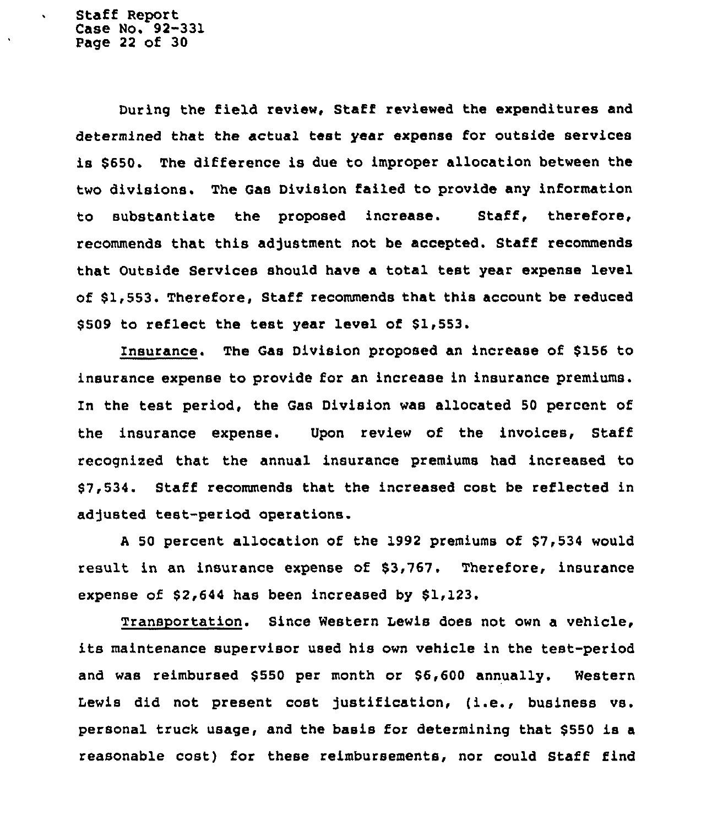Staff Report Case No. 92-331 Page 22 of 30

 $\ddot{\phantom{0}}$ 

During the field review, Staff reviewed the expenditures and determined that the actual test year expense for outside services is \$650. The difference is due to improper allocation between the two divisions. The Gas Division failed to provide any information to substantiate the proposed increase. Staff, therefore, recommends that this adjustment not be accepted. Staff recommends that Outside Services should have a total test year expense level of \$1,553. Therefore, Staff recommends that this account be reduced \$ 509 to reflect the test year level of \$1,553.

Insurance. The Gas Division proposed an increase of \$156 to insurance expense to provide for an increase in insurance premiums. In the test period, the Gas Division was allocated 50 percent of the insurance expense. Upon review of the invoices, Staff recognised that the annual insurance premiums had increased to \$7,534. Staff recommends that the increased cost be reflected in adjusted test-period operations.

<sup>A</sup> 50 percent allocation of the 1992 premiums of \$7,534 would result in an insurance expense of \$3,767. Therefore, insurance expense of  $$2,644$  has been increased by  $$1,123$ .

Transportation. Since Western Lewis does not own a vehicle, its maintenance supervisor used his own vehicle in the test-period and was reimbursed \$550 per month or \$6,600 annually. Western Lewis did not present cost justification, (i.e., business vs. personal truck usage, and the basis for determining that \$ 550 is a reasonable cost) for these reimbursements, nor could Staff find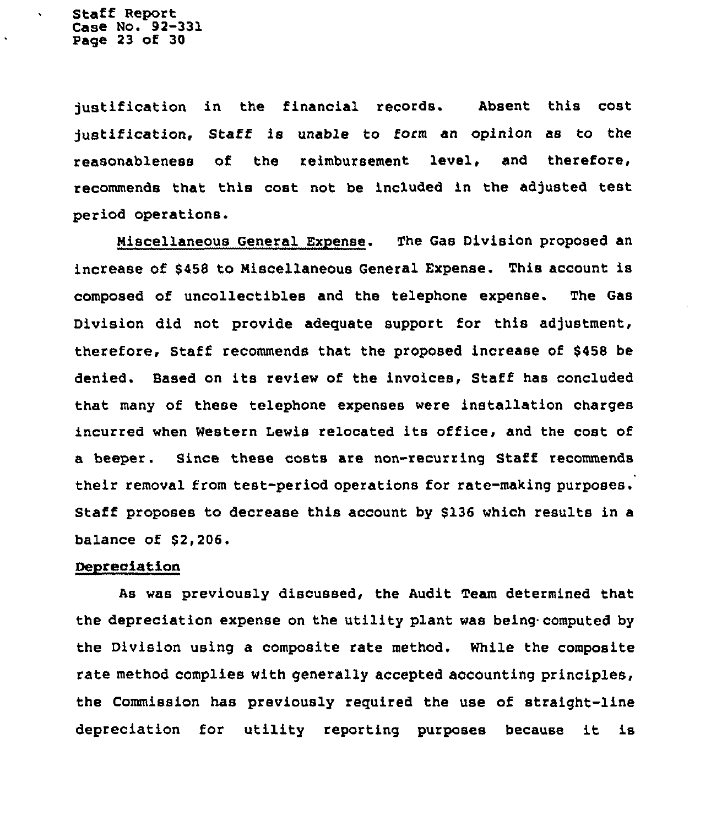Staff Report Case No. 92-331 Page 23 of 30

 $\ddot{\phantom{1}}$ 

justification in the financial records. Absent this cost justification, Staff is unable to form an opinion as to the reasonableness of the reimbursement level, and therefore, recommends that this cost not be included in the adjusted test period operations.

Miscellaneous General Expense. The Gas Division proposed an increase of \$45S to Miscellaneous General Expense. This account is composed of uncollectibles and the telephone expense. The Gas Division did not provide adequate support for this adjustment, therefore, Staff recommends that the proposed increase of \$468 be denied. Based on its review of the invoices, Staff has concluded that many of these telephone expenses were installation charges incurred when Western Lewis relocated its office, and the cost of a beeper. Since these costs are non-recurring Staff recommends their removal from test-period operations for rate-making purposes. Staff proposes to decrease this account by \$136 which results in a balance of  $$2,206.$ 

### Depreciation

As was previously discussed, the Audit Team determined that the depreciation expense on the utility plant was being computed by the Division using a composite rate method. While the composite rate method complies with generally accepted accounting principles, the Commission has previously required the use of straight-line depreciation for utility reporting purposes because it is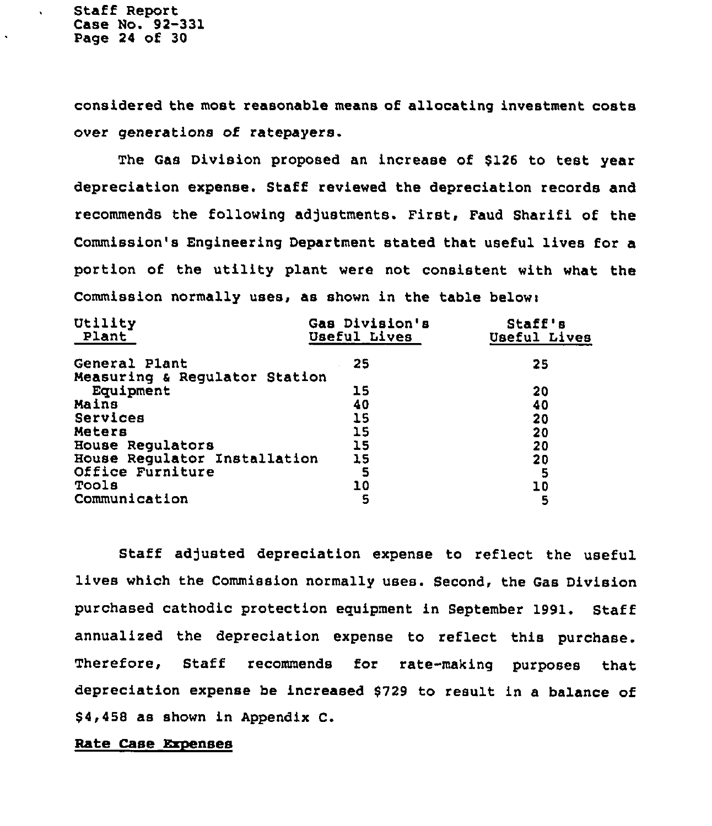$\ddot{\phantom{a}}$ 

considered the most reasonable means of allocating investment costs over generations of ratepayers.

The Gas Division proposed an increase of \$126 to test year depreciation expense. Staff reviewed the depreciation records and recommends the following adjustments. First, Faud Sharifi of the Commission's Engineering Department stated that useful lives for a portion of the utility plant were not consistent with what the Commission normally uses, as shown in the table below:

| Utility<br>Plant              | Gas Division's<br>Useful Lives | Staff's<br>Useful Lives |
|-------------------------------|--------------------------------|-------------------------|
| General Plant                 | 25                             | 25                      |
| Measuring & Regulator Station |                                |                         |
| Equipment                     | 15                             | 20                      |
| Mains                         | 40                             | 40                      |
| Services                      | 15                             | 20                      |
| Meters                        | 15                             | 20                      |
| House Regulators              | 15                             | 20                      |
| House Regulator Installation  | 15                             | 20                      |
| Office Furniture              | 5                              | 5                       |
| Tools                         | 10                             | 10                      |
| Communication                 | 5                              | 5                       |

Staff adjusted depreciation expense to reflect the useful lives which the Commission normally uses. Second, the Gas Division purchased cathodic protection equipment in September 1991. Staff annualized the depreciation expense to reflect this purchase. Therefore, Staff recommends for rate-making purposes that depreciation expense be increased \$729 to result in a balance of \$4,458 as shown in Appendix C.

### Rate Case Expenses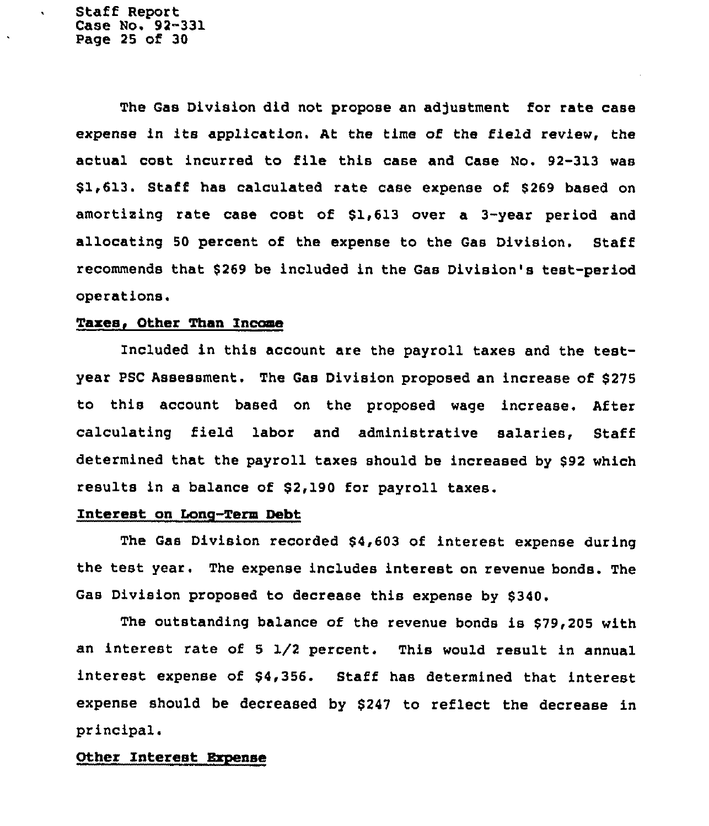Staff Report Case No. 92-331 Page 25 of 30

 $\epsilon$ 

The Gas Division did not propose an adjustment for rate case expense in its application. At the time of the field review, the actual cost incurred to file this case and Case No. 92-313 was \$1,613. Staff has calculated rate case expense of \$269 based on amortising rate case cost of \$1,613 over a 3-year period and allocating 50 percent of the expense to the Gas Division. Staff recommends that \$ 269 be included in the Gas Division's test-period operations.

### Taxes, Other Than Income

Included in this account are the payroll taxes and the testyear PSC Assessment. The Gas Division proposed an increase of \$275 to this account based on the proposed wage increase. After calculating field labor and administrative salaries, Staff determined that the payroll taxes should be increased by \$92 which results in a balance of \$2,190 for payroll taxes.

## Interest on Long-Term Debt

The Gas Division recorded \$4,603 of interest expense during the test year. The expense includes interest on revenue bonds. The Gas Division proposed to decrease this expense by \$340.

The outstanding balance of the revenue bonds is \$79,205 with an interest rate of <sup>5</sup> 1/2 percent. This would result in annual interest expense of \$4,356. Staff has determined that interest expense should be decreased by \$247 to reflect the decrease in principal.

### Other Interest Bxpense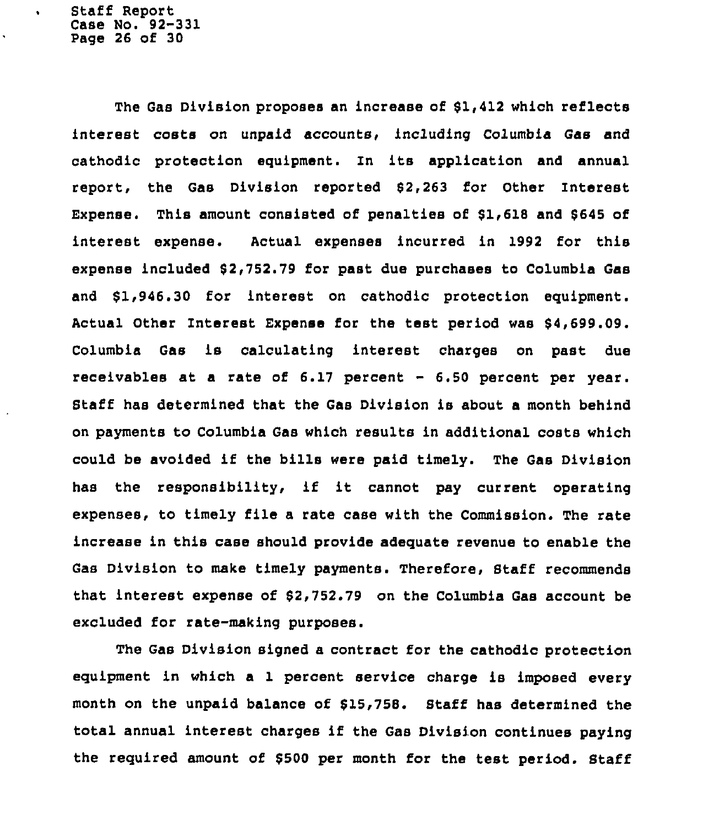Staff Report Case No. 92-331 Page 26 of 30

 $\bullet$ 

The Gas Division proposes an increase of 61,412 which reflects interest costs on unpaid accounts, including Columbia Gas and cathodic protection equipment. In its application and annual report, the Gas Division reported 62,263 for Other Interest Expense. This amount consisted of penalties of \$1,618 and \$645 of interest expense. Actual expenses incurred in 1992 for this expense included 62,752.79 for past due purchases to Columbia Gas and \$1,946.30 for interest on cathodic protection equipment. Actual Other interest Expense for the test period was 94,699.09. Columbia Gas is calculating interest charges on past due receivables at a rate of 6.17 percent — 6.50 percent per year. Staff has determined that the Gas Division is about a month behind on payments to Columbia Gas which results in additional costs which could be avoided if the bills were paid timely. The Gas Division has the responsibility, if it cannot pay current operating expenses, to timely file a rate case with the Commission. The rate increase in this case should provide adequate revenue to enable the Gas Division to make timely payments. Therefore, Staff recommends that interest expense of 62,752.79 on the Columbia Gas account be excluded for rate-making purposes.

The Gas Division signed a contract for the cathodic protection equipment in which a 1 percent service charge is imposed every month on the unpaid balance of 615,758. Staff has determined the total annual interest charges if the Gas Division continues paying the required amount of 6500 per month for the test period. Staff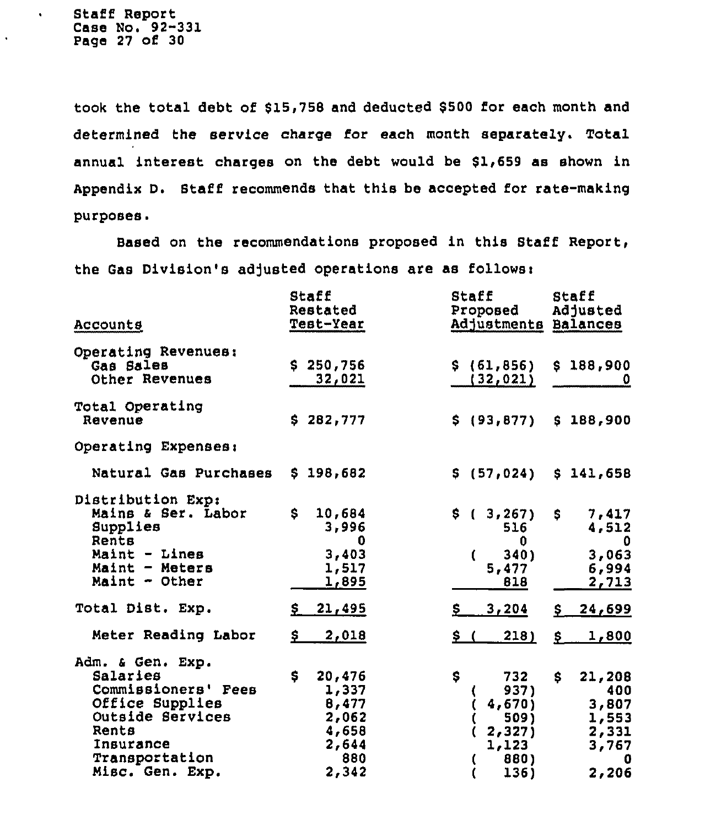Staff Report Case No. 92-331 Page 27 of 30

 $\bullet$ 

 $\cdot$ 

took the total debt of \$15,758 and deducted \$500 for each month and determined the service charge for each month separately. Total annual interest charges on the debt would be \$1,659 as shown in Appendix D. 8taff recommends that this be accepted for rate-making purposes.

Based on the recommendations proposed in this Staff Report, the Gas Division's adjusted operations are as follows:

| <u>Accounts</u>                                                                                                                                       | Staff<br>Restated<br>Test-Year                                            | Staff<br>Proposed<br>Adjustments Balances                             | Staff<br>Adjusted                                                    |
|-------------------------------------------------------------------------------------------------------------------------------------------------------|---------------------------------------------------------------------------|-----------------------------------------------------------------------|----------------------------------------------------------------------|
| Operating Revenues:<br>Gas Sales<br>Other Revenues                                                                                                    | \$250,756<br>32,021                                                       | \$ (61, 856)<br>(32, 021)                                             | \$188,900<br>0                                                       |
| Total Operating<br>Revenue                                                                                                                            | \$282,777                                                                 | \$(93, 877)                                                           | \$188,900                                                            |
| Operating Expenses:                                                                                                                                   |                                                                           |                                                                       |                                                                      |
| Natural Gas Purchases                                                                                                                                 | \$198,682                                                                 | \$(57, 024)                                                           | \$141,658                                                            |
| Distribution Exp:<br>Mains & Ser. Labor<br>Supplies<br>Rents<br>Maint - Lines<br>$Maint - Meters$<br>Maint - Other                                    | \$<br>10,684<br>3,996<br>0<br>3,403<br>1,517<br><u>1,895</u>              | \$(3, 267)<br>516<br>0<br>$340$ )<br>$\mathfrak{c}$<br>5,477<br>818   | 7,417<br>S.<br>4,512<br>0<br>3,063<br>6,994<br>2,713                 |
| Total Dist. Exp.                                                                                                                                      | \$21,495                                                                  | 3,204<br>Ş.                                                           | <u>24,699</u><br>$S_{-}$                                             |
| Meter Reading Labor                                                                                                                                   | \$<br>2,018                                                               | \$(<br>218)                                                           | <u>1,800</u><br>$S_{-}$                                              |
| Adm. & Gen. Exp.<br>Salaries<br>Commissioners' Fees<br>Office Supplies<br>Outside Services<br>Rents<br>Insurance<br>Transportation<br>Misc. Gen. Exp. | \$<br>20,476<br>1,337<br>8,477<br>2,062<br>4,658<br>2,644<br>880<br>2,342 | Ş.<br>732<br>937)<br>4,670<br>509)<br>2,327<br>1, 123<br>880)<br>136) | S<br>21,208<br>400<br>3,807<br>1,553<br>2,331<br>3,767<br>0<br>2,206 |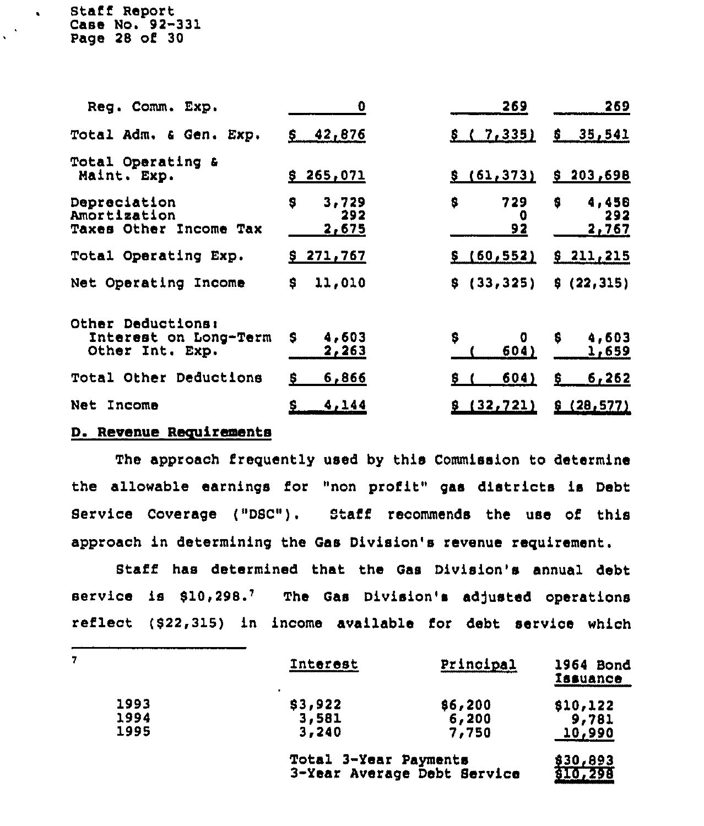Staff Report Case No. 92-331 Page 28 of 30

 $\mathbf{R}$ 

| Reg. Comm. Exp.                                               | O                          | 269                  | 269                         |
|---------------------------------------------------------------|----------------------------|----------------------|-----------------------------|
| Total Adm. & Gen. Exp.                                        | 42,876<br>S.               | \$(7,335)            | \$35,541                    |
| Total Operating &<br>Maint. Exp.                              | \$265,071                  | \$(61, 373)          | \$203,698                   |
| Depreciation<br>Amortization<br><b>Taxes Other Income Tax</b> | s<br>3,729<br>292<br>2,675 | \$<br>729<br>o<br>92 | 4,458<br>\$<br>292<br>2,767 |
| Total Operating Exp.                                          | \$271,767                  | \$ (60, 552)         | \$211,215                   |
| Net Operating Income                                          | \$<br>11,010               | \$(33, 325)          | \$(22,315)                  |
| Other Deductions:<br>Interest on Long-Term<br>Other Int. Exp. | 4,603<br>S<br>2,263        | \$<br>0<br>604)      | \$<br>4,603<br>1,659        |
| Total Other Deductions                                        | 6,866<br>s                 | 604)<br>Ş.           | 6,262<br>s                  |
| Net Income                                                    | 4,144<br>s                 | (32, 721)            | \$(28,577)                  |

## D. Revenue Requirements

The approach frequently used by this Commission to determine the allowable earnings for "non profit" gas districts is Debt Service Coverage ("DBC") . Staff recommends the use of this approach in determining the Gas Division's revenue requirement.

Staff has determined that the Gas Division's annual debt service is \$10,298.7 The Gas Division's adjusted operations reflect (\$22,315) in income available for debt service which

|      | <b>Interest</b>       | Principal                   | 1964 Bond<br><b>Tasuance</b> |
|------|-----------------------|-----------------------------|------------------------------|
| 1993 | \$3,922               | \$6,200                     | \$10,122                     |
| 1994 | 3,581                 | 6,200                       | 9,781                        |
| 1995 | 3,240                 | 7,750                       | <u>10,990</u>                |
|      | Total 3-Year Payments |                             | \$30,893                     |
|      |                       | 3-Year Average Debt Service | 810,298                      |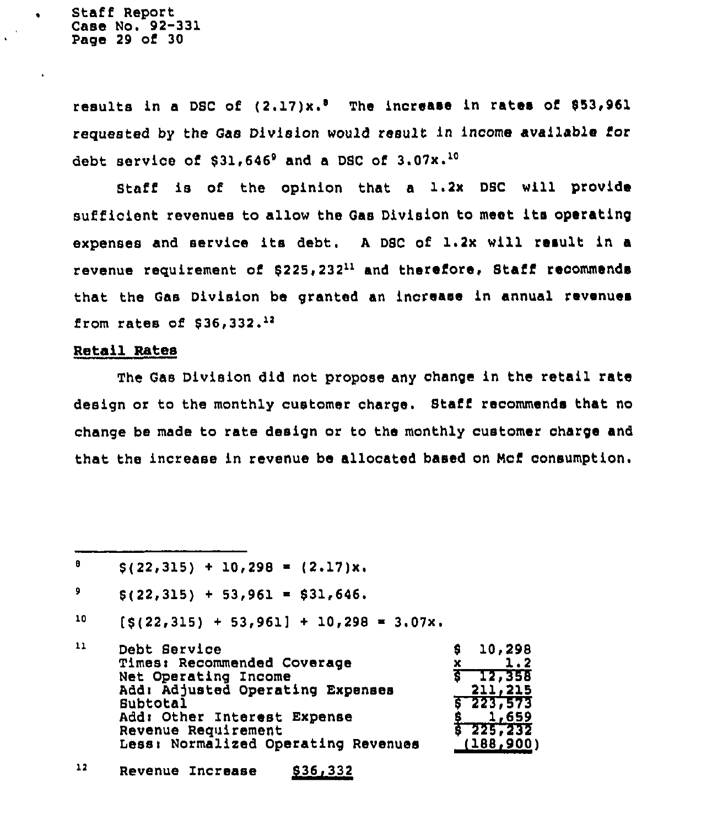Staff Report Case No. 92-331 Page 29 of 30

 $\bullet$ 

results in a DSC of  $(2.17)x.^8$  The increase in rates of \$53,961 requested by the Gas Division would result in income available for debt service of  $$31,646^{\circ}$$  and a DSC of  $3.07x.^{10}$ 

Staff is of the opinion that a 1.2x DSC will provide sufficient revenues to allow the Gas Division to meet its operating expenses and service its debt. A DSC of 1.2x will result in a revenue requirement of  $$225,232<sup>11</sup>$  and therefore, Staff recommends that the Gas Division be granted an increase in annual revenues from rates of  $$36,332.^{12}$ 

### Retail Rates

The Gas Division did not propose any change in the retail rate design or to the monthly customer charge. Staff recommends that no change be made to rate design or to the monthly customer charge and that the increase in revenue be allocated baaed on Mcf consumption.

 $\mathbf{B}$  $$ (22,315) + 10,298 = (2.17)x.$ 

9  $$ (22,315) + 53,961 = $31,646.$ 

10  $[5(22,315) + 53,961] + 10,298 = 3.07x.$ 

| $\mathbf{1}$ | Debt Service                        | 10,298<br>s     |
|--------------|-------------------------------------|-----------------|
|              | Times: Recommended Coverage         | 1.2             |
|              | Net Operating Income                | $5 - 12,358$    |
|              | Add: Adjusted Operating Expenses    | 211,215         |
|              | Subtotal                            | $5 - 223 - 573$ |
|              | Add: Other Interest Expense         | 1,659           |
|              | Revenue Requirement                 | $5\,225,232$    |
|              | Less: Normalized Operating Revenues | (188, 900)      |
|              |                                     |                 |

12 Revenue Increase 836,332